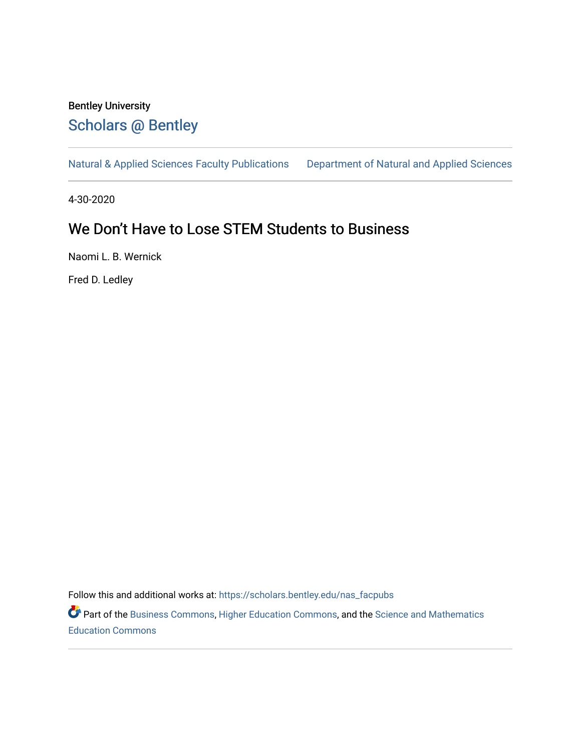# Bentley University [Scholars @ Bentley](https://scholars.bentley.edu/)

[Natural & Applied Sciences Faculty Publications](https://scholars.bentley.edu/nas_facpubs) [Department of Natural and Applied Sciences](https://scholars.bentley.edu/science) 

4-30-2020

## We Don't Have to Lose STEM Students to Business

Naomi L. B. Wernick

Fred D. Ledley

Follow this and additional works at: [https://scholars.bentley.edu/nas\\_facpubs](https://scholars.bentley.edu/nas_facpubs?utm_source=scholars.bentley.edu%2Fnas_facpubs%2F16&utm_medium=PDF&utm_campaign=PDFCoverPages)

Part of the [Business Commons](http://network.bepress.com/hgg/discipline/622?utm_source=scholars.bentley.edu%2Fnas_facpubs%2F16&utm_medium=PDF&utm_campaign=PDFCoverPages), [Higher Education Commons](http://network.bepress.com/hgg/discipline/1245?utm_source=scholars.bentley.edu%2Fnas_facpubs%2F16&utm_medium=PDF&utm_campaign=PDFCoverPages), and the [Science and Mathematics](http://network.bepress.com/hgg/discipline/800?utm_source=scholars.bentley.edu%2Fnas_facpubs%2F16&utm_medium=PDF&utm_campaign=PDFCoverPages)  [Education Commons](http://network.bepress.com/hgg/discipline/800?utm_source=scholars.bentley.edu%2Fnas_facpubs%2F16&utm_medium=PDF&utm_campaign=PDFCoverPages)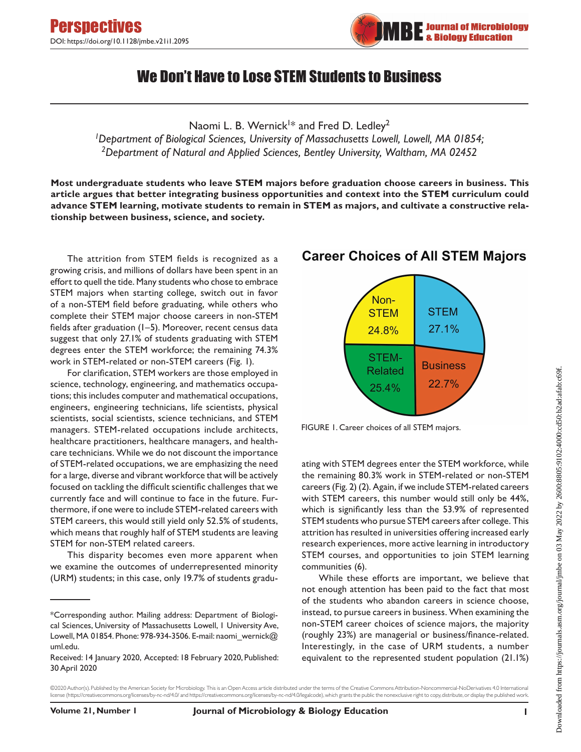

## We Don't Have to Lose STEM Students to Business

Naomi L. B. Wernick<sup>1\*</sup> and Fred D. Ledley<sup>2</sup>

*1Department of Biological Sciences, University of Massachusetts Lowell, Lowell, MA 01854; 2Department of Natural and Applied Sciences, Bentley University, Waltham, MA 02452*

**Most undergraduate students who leave STEM majors before graduation choose careers in business. This article argues that better integrating business opportunities and context into the STEM curriculum could advance STEM learning, motivate students to remain in STEM as majors, and cultivate a constructive relationship between business, science, and society.**

The attrition from STEM fields is recognized as a growing crisis, and millions of dollars have been spent in an effort to quell the tide. Many students who chose to embrace STEM majors when starting college, switch out in favor of a non-STEM field before graduating, while others who complete their STEM major choose careers in non-STEM fields after graduation (1–5). Moreover, recent census data suggest that only 27.1% of students graduating with STEM degrees enter the STEM workforce; the remaining 74.3% work in STEM-related or non-STEM careers (Fig. 1).

For clarification, STEM workers are those employed in science, technology, engineering, and mathematics occupations; this includes computer and mathematical occupations, engineers, engineering technicians, life scientists, physical scientists, social scientists, science technicians, and STEM managers. STEM-related occupations include architects, healthcare practitioners, healthcare managers, and healthcare technicians. While we do not discount the importance of STEM-related occupations, we are emphasizing the need for a large, diverse and vibrant workforce that will be actively focused on tackling the difficult scientific challenges that we currently face and will continue to face in the future. Furthermore, if one were to include STEM-related careers with STEM careers, this would still yield only 52.5% of students, which means that roughly half of STEM students are leaving STEM for non-STEM related careers.

This disparity becomes even more apparent when we examine the outcomes of underrepresented minority (URM) students; in this case, only 19.7% of students gradu-



## **Career Choices of All STEM Majors**

FIGURE 1. Career choices of all STEM majors.

ating with STEM degrees enter the STEM workforce, while the remaining 80.3% work in STEM-related or non-STEM careers (Fig. 2) (2). Again, if we include STEM-related careers with STEM careers, this number would still only be 44%, which is significantly less than the 53.9% of represented STEM students who pursue STEM careers after college. This attrition has resulted in universities offering increased early research experiences, more active learning in introductory STEM courses, and opportunities to join STEM learning communities (6).

While these efforts are important, we believe that not enough attention has been paid to the fact that most of the students who abandon careers in science choose, instead, to pursue careers in business. When examining the non-STEM career choices of science majors, the majority (roughly 23%) are managerial or business/finance-related. Interestingly, in the case of URM students, a number equivalent to the represented student population (21.1%)

©2020 Author(s). Published by the American Society for Microbiology. This is an Open Access article distributed under the terms of the Creative Commons Attribution-Noncommercial-NoDerivatives 4.0 International license (<https://creativecommons.org/licenses/by-nc-nd/4.0/>and [https://creativecommons.org/licenses/by-nc-nd/4.0/legalcode\)](https://creativecommons.org/licenses/by-nc-nd/4.0/legalcode), which grants the public the nonexclusive right to copy, distribute, or display the published work.

<sup>\*</sup>Corresponding author. Mailing address: Department of Biological Sciences, University of Massachusetts Lowell, 1 University Ave, Lowell, MA 01854. Phone: 978-934-3506. E-mail: naomi\_wernick@ uml.edu.

Received: 14 January 2020, Accepted: 18 February 2020, Published: 30 April 2020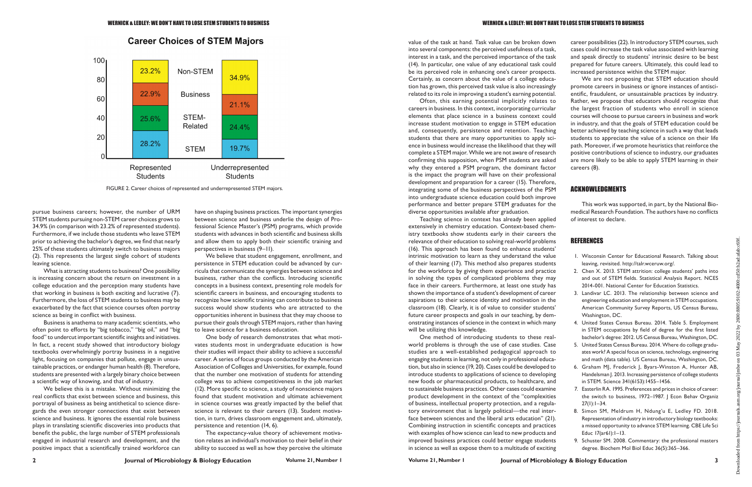

#### **Career Choices of STEM Majors**

pursue business careers; however, the number of URM STEM students pursuing non-STEM career choices grows to 34.9% (in comparison with 23.2% of represented students). Furthermore, if we include those students who leave STEM prior to achieving the bachelor's degree, we find that nearly 25% of these students ultimately switch to business majors (2). This represents the largest single cohort of students leaving science.

What is attracting students to business? One possibility is increasing concern about the return on investment in a college education and the perception many students have that working in business is both exciting and lucrative (7). Furthermore, the loss of STEM students to business may be exacerbated by the fact that science courses often portray science as being in conflict with business.

Business is anathema to many academic scientists, who often point to efforts by "big tobacco," "big oil," and "big food" to undercut important scientific insights and initiatives. In fact, a recent study showed that introductory biology textbooks overwhelmingly portray business in a negative light, focusing on companies that pollute, engage in unsustainable practices, or endanger human health (8). Therefore, students are presented with a largely binary choice between a scientific way of knowing, and that of industry.

We believe this is a mistake. Without minimizing the real conflicts that exist between science and business, this portrayal of business as being antithetical to science disregards the even stronger connections that exist between science and business. It ignores the essential role business plays in translating scientific discoveries into products that benefit the public, the large number of STEM professionals engaged in industrial research and development, and the positive impact that a scientifically trained workforce can

have on shaping business practices. The important synergies between science and business underlie the design of Professional Science Master's (PSM) programs, which provide students with advances in both scientific and business skills and allow them to apply both their scientific training and perspectives in business (9–11).

We believe that student engagement, enrollment, and persistence in STEM education could be advanced by curricula that communicate the synergies between science and business, rather than the conflicts. Introducing scientific concepts in a business context, presenting role models for scientific careers in business, and encouraging students to recognize how scientific training can contribute to business success would show students who are attracted to the opportunities inherent in business that they may choose to pursue their goals through STEM majors, rather than having to leave science for a business education.

One body of research demonstrates that what motivates students most in undergraduate education is how their studies will impact their ability to achieve a successful career. A series of focus groups conducted by the American Association of Colleges and Universities, for example, found that the number one motivation of students for attending college was to achieve competitiveness in the job market (12). More specific to science, a study of nonscience majors found that student motivation and ultimate achievement in science courses was greatly impacted by the belief that science is relevant to their careers (13). Student motivation, in turn, drives classroom engagement and, ultimately, persistence and retention (14, 6).

The expectancy-value theory of achievement motivation relates an individual's motivation to their belief in their ability to succeed as well as how they perceive the ultimate value of the task at hand. Task value can be broken down into several components: the perceived usefulness of a task, interest in a task, and the perceived importance of the task (14). In particular, one value of any educational task could be its perceived role in enhancing one's career prospects. Certainly, as concern about the value of a college educacareer possibilities (22). In introductory STEM courses, such cases could increase the task value associated with learning and speak directly to students' intrinsic desire to be best prepared for future careers. Ultimately, this could lead to increased persistence within the STEM major.

extensively in chemistry education. Context-based chemistry textbooks show students early in their careers the relevance of their education to solving real-world problems (16). This approach has been found to enhance students' intrinsic motivation to learn as they understand the value of their learning (17). This method also prepares students for the workforce by giving them experience and practice in solving the types of complicated problems they may face in their careers. Furthermore, at least one study has shown the importance of a student's development of career aspirations to their science identity and motivation in the classroom (18). Clearly, it is of value to consider students' future career prospects and goals in our teaching, by demonstrating instances of science in the context in which many will be utilizing this knowledge.

tion has grown, this perceived task value is also increasingly related to its role in improving a student's earning potential. Often, this earning potential implicitly relates to careers in business. In this context, incorporating curricular elements that place science in a business context could increase student motivation to engage in STEM education and, consequently, persistence and retention. Teaching students that there are many opportunities to apply science in business would increase the likelihood that they will complete a STEM major. While we are not aware of research confirming this supposition, when PSM students are asked why they entered a PSM program, the dominant factor is the impact the program will have on their professional development and preparation for a career (15). Therefore, integrating some of the business perspectives of the PSM into undergraduate science education could both improve performance and better prepare STEM graduates for the diverse opportunities available after graduation. Teaching science in context has already been applied We are not proposing that STEM education should promote careers in business or ignore instances of antiscientific, fraudulent, or unsustainable practices by industry. Rather, we propose that educators should recognize that the largest fraction of students who enroll in science courses will choose to pursue careers in business and work in industry, and that the goals of STEM education could be better achieved by teaching science in such a way that leads students to appreciate the value of a science on their life path. Moreover, if we promote heuristics that reinforce the positive contributions of science to industry, our graduates are more likely to be able to apply STEM learning in their careers (8). ACKNOWLEDGMENTS This work was supported, in part, by the National Biomedical Research Foundation. The authors have no conflicts of interest to declare.

One method of introducing students to these realworld problems is through the use of case studies. Case studies are a well-established pedagogical approach to engaging students in learning, not only in professional education, but also in science (19, 20). Cases could be developed to introduce students to applications of science to developing new foods or pharmaceutical products, to healthcare, and to sustainable business practices. Other cases could examine product development in the context of the "complexities of business, intellectual property protection, and a regulatory environment that is largely political—the real interface between sciences and the liberal arts education" (21). Combining instruction in scientific concepts and practices with examples of how science can lead to new products and improved business practices could better engage students in science as well as expose them to a multitude of exciting

**2 1 Journal of Microbiology & Biology Education <b>Volume 21, Number 1 Volume 21, Number 1 Volume 21, Number 1 3 3** 

### REFERENCES

- 1. Wisconsin Center for Educational Research. Talking about leaving, revisited. http://talr.wceruw.org/.
- 2. Chen X. 2013. STEM attrition: college students' paths into and out of STEM fields. Statistical Analysis Report. NCES 2014-001. National Center for Education Statistics.
- 3. Landivar LC. 2013. The relationship between science and engineering education and employment in STEM occupations. American Community Survey Reports, US Census Bureau, Washington, DC.
- 4. United States Census Bureau. 2014. Table 5. Employment in STEM occupations by field of degree for the first listed bachelor's degree: 2012. US Census Bureau, Washington, DC.
- 5. United States Census Bureau. 2014. Where do college graduates work? A special focus on science, technology, engineering and math (data table). US Census Bureau, Washington, DC.
- 6. Graham MJ, Frederick J, Byars-Winston A, Hunter AB, Handelsman J. 2013. Increasing persistence of college students in STEM. Science 341(6153):1455–1456.
- 7. Easterlin RA. 1995. Preferences and prices in choice of career: the switch to business, 1972-1987. | Econ Behav Organiz  $27(1):1-34.$
- 8. Simon SM, Meldrum H, Ndung'u E, Ledley FD. 2018. Representation of industry in introductory biology textbooks: a missed opportunity to advance STEM learning. CBE Life Sci Educ 17(ar61):1–13.
- 9. Schuster SM. 2008. Commentary: the professional masters degree. Biochem Mol Biol Educ 36(5):365–366.

FIGURE 2. Career choices of represented and underrepresented STEM majors.